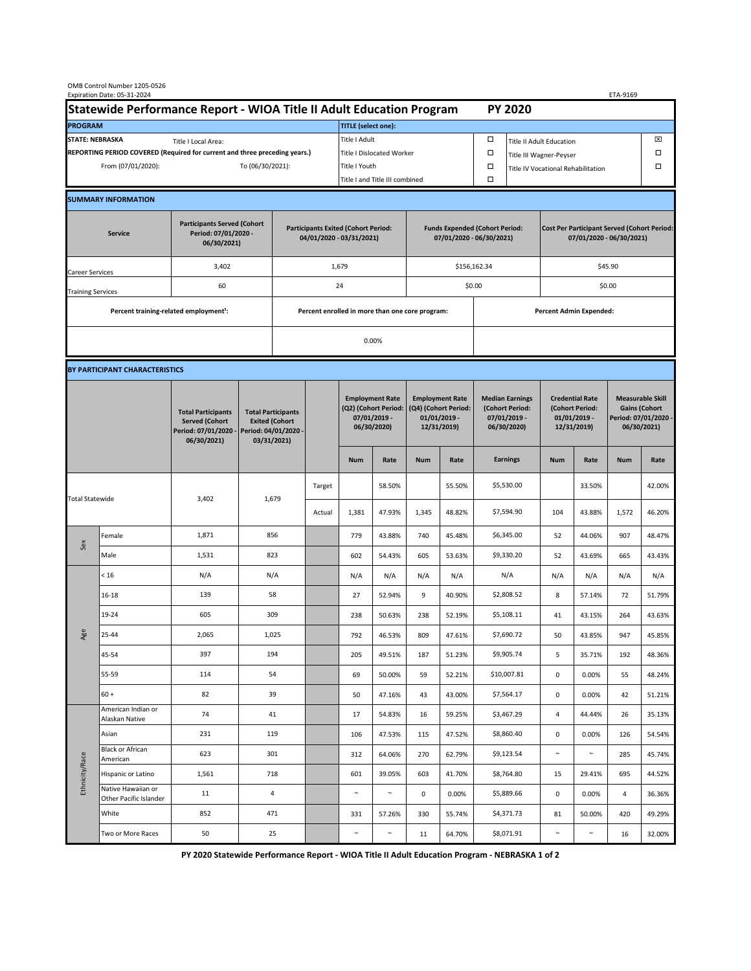|                                                                                             | OMB Control Number 1205-0526<br>Expiration Date: 05-31-2024<br>ETA-9169 |                                                                                           |                                                                                           |                                                                        |                           |                                                                               |                                |                                                                                 |                                |                                                                            |                                    |                                                                                |                 |                                                                                        |                  |  |
|---------------------------------------------------------------------------------------------|-------------------------------------------------------------------------|-------------------------------------------------------------------------------------------|-------------------------------------------------------------------------------------------|------------------------------------------------------------------------|---------------------------|-------------------------------------------------------------------------------|--------------------------------|---------------------------------------------------------------------------------|--------------------------------|----------------------------------------------------------------------------|------------------------------------|--------------------------------------------------------------------------------|-----------------|----------------------------------------------------------------------------------------|------------------|--|
| Statewide Performance Report - WIOA Title II Adult Education Program                        |                                                                         |                                                                                           |                                                                                           |                                                                        |                           |                                                                               |                                |                                                                                 |                                | <b>PY 2020</b>                                                             |                                    |                                                                                |                 |                                                                                        |                  |  |
| <b>PROGRAM</b>                                                                              |                                                                         |                                                                                           |                                                                                           |                                                                        |                           | <b>TITLE</b> (select one):                                                    |                                |                                                                                 |                                |                                                                            |                                    |                                                                                |                 |                                                                                        |                  |  |
| <b>STATE: NEBRASKA</b><br>Title I Local Area:                                               |                                                                         |                                                                                           |                                                                                           |                                                                        |                           | Title I Adult                                                                 |                                |                                                                                 |                                | □<br><b>Title II Adult Education</b>                                       |                                    |                                                                                |                 |                                                                                        | ⊠                |  |
| REPORTING PERIOD COVERED (Required for current and three preceding years.)                  |                                                                         |                                                                                           |                                                                                           |                                                                        | Title I Dislocated Worker |                                                                               |                                |                                                                                 |                                | Ω                                                                          | Title III Wagner-Peyser            |                                                                                |                 |                                                                                        |                  |  |
| From (07/01/2020):                                                                          |                                                                         |                                                                                           |                                                                                           | To (06/30/2021):                                                       |                           |                                                                               | Title I Youth                  |                                                                                 |                                | $\Box$                                                                     | Title IV Vocational Rehabilitation |                                                                                |                 |                                                                                        |                  |  |
|                                                                                             |                                                                         |                                                                                           |                                                                                           |                                                                        |                           |                                                                               | Title I and Title III combined |                                                                                 |                                |                                                                            |                                    |                                                                                |                 |                                                                                        |                  |  |
|                                                                                             | <b>SUMMARY INFORMATION</b>                                              |                                                                                           |                                                                                           |                                                                        |                           |                                                                               |                                |                                                                                 |                                |                                                                            |                                    |                                                                                |                 |                                                                                        |                  |  |
| <b>Participants Served (Cohort</b><br>Period: 07/01/2020 -<br><b>Service</b><br>06/30/2021) |                                                                         |                                                                                           |                                                                                           | <b>Participants Exited (Cohort Period:</b><br>04/01/2020 - 03/31/2021) |                           |                                                                               |                                | <b>Funds Expended (Cohort Period:</b><br>07/01/2020 - 06/30/2021)               |                                |                                                                            |                                    | <b>Cost Per Participant Served (Cohort Period:</b><br>07/01/2020 - 06/30/2021) |                 |                                                                                        |                  |  |
| Career Services                                                                             |                                                                         | 3,402                                                                                     |                                                                                           |                                                                        |                           | 1,679                                                                         |                                |                                                                                 |                                | \$156,162.34                                                               |                                    | \$45.90                                                                        |                 |                                                                                        |                  |  |
| <b>Training Services</b>                                                                    |                                                                         | 60                                                                                        |                                                                                           | 24                                                                     |                           |                                                                               | \$0.00                         |                                                                                 |                                |                                                                            | \$0.00                             |                                                                                |                 |                                                                                        |                  |  |
|                                                                                             | Percent training-related employment <sup>1</sup> :                      |                                                                                           | Percent enrolled in more than one core program:                                           |                                                                        |                           |                                                                               |                                |                                                                                 | <b>Percent Admin Expended:</b> |                                                                            |                                    |                                                                                |                 |                                                                                        |                  |  |
|                                                                                             |                                                                         |                                                                                           |                                                                                           |                                                                        |                           | 0.00%                                                                         |                                |                                                                                 |                                |                                                                            |                                    |                                                                                |                 |                                                                                        |                  |  |
|                                                                                             |                                                                         |                                                                                           |                                                                                           |                                                                        |                           |                                                                               |                                |                                                                                 |                                |                                                                            |                                    |                                                                                |                 |                                                                                        |                  |  |
|                                                                                             | BY PARTICIPANT CHARACTERISTICS                                          |                                                                                           |                                                                                           |                                                                        |                           |                                                                               |                                |                                                                                 |                                |                                                                            |                                    |                                                                                |                 |                                                                                        |                  |  |
|                                                                                             |                                                                         | <b>Total Participants</b><br><b>Served (Cohort</b><br>Period: 07/01/2020 -<br>06/30/2021) | <b>Total Participants</b><br><b>Exited (Cohort</b><br>Period: 04/01/2020 -<br>03/31/2021) |                                                                        |                           | <b>Employment Rate</b><br>(Q2) (Cohort Period:<br>07/01/2019 -<br>06/30/2020) |                                | <b>Employment Rate</b><br>(Q4) (Cohort Period:<br>$01/01/2019$ -<br>12/31/2019) |                                | <b>Median Earnings</b><br>(Cohort Period:<br>$07/01/2019 -$<br>06/30/2020) |                                    | <b>Credential Rate</b><br>(Cohort Period:<br>$01/01/2019$ -<br>12/31/2019)     |                 | <b>Measurable Skill</b><br><b>Gains (Cohort</b><br>Period: 07/01/2020 -<br>06/30/2021) |                  |  |
|                                                                                             |                                                                         |                                                                                           |                                                                                           |                                                                        |                           | <b>Num</b>                                                                    | Rate                           | <b>Num</b>                                                                      | Rate                           |                                                                            | <b>Earnings</b>                    | <b>Num</b>                                                                     | Rate            | <b>Num</b>                                                                             | Rate             |  |
| <b>Total Statewide</b>                                                                      |                                                                         | 3,402                                                                                     | 1,679                                                                                     |                                                                        | Target                    |                                                                               | 58.50%                         |                                                                                 | 55.50%                         |                                                                            | \$5,530.00                         |                                                                                | 33.50%          |                                                                                        | 42.00%           |  |
|                                                                                             |                                                                         |                                                                                           |                                                                                           |                                                                        | Actual                    | 1,381                                                                         | 47.93%                         | 1,345                                                                           | 48.82%                         |                                                                            | \$7,594.90                         | 104                                                                            | 43.88%          | 1,572                                                                                  | 46.20%           |  |
| Sex                                                                                         | Female                                                                  | 1,871                                                                                     | 856                                                                                       |                                                                        |                           | 779                                                                           | 43.88%                         | 740                                                                             | 45.48%                         |                                                                            | \$6,345.00                         | 52                                                                             | 44.06%          | 907                                                                                    | 48.47%           |  |
|                                                                                             | Male                                                                    | 1,531                                                                                     | 823                                                                                       |                                                                        |                           | 602                                                                           | 54.43%                         | 605                                                                             | 53.63%                         |                                                                            | \$9,330.20                         | 52                                                                             | 43.69%          | 665                                                                                    | 43.43%           |  |
| Age                                                                                         | < 16                                                                    | N/A                                                                                       | N/A                                                                                       |                                                                        |                           | N/A                                                                           | N/A                            | N/A                                                                             | N/A                            |                                                                            | N/A                                | N/A                                                                            | N/A             | N/A                                                                                    | N/A              |  |
|                                                                                             | $16 - 18$                                                               | 139                                                                                       | 58                                                                                        |                                                                        |                           | 27                                                                            | 52.94%                         | 9                                                                               | 40.90%                         |                                                                            | \$2,808.52                         | 8                                                                              | 57.14%          | 72                                                                                     | 51.79%           |  |
|                                                                                             | 19-24                                                                   | 605                                                                                       | 309                                                                                       |                                                                        |                           | 238                                                                           | 50.63%                         | 238                                                                             | 52.19%                         |                                                                            | \$5,108.11                         | 41                                                                             | 43.15%          | 264                                                                                    | 43.63%           |  |
|                                                                                             | 25-44                                                                   | 2,065                                                                                     | 1,025                                                                                     |                                                                        |                           | 792                                                                           | 46.53%                         | 809                                                                             | 47.61%                         |                                                                            | \$7,690.72                         | 50                                                                             | 43.85%          | 947                                                                                    | 45.85%           |  |
|                                                                                             | 45-54                                                                   | 397                                                                                       | 194                                                                                       |                                                                        |                           | 205                                                                           | 49.51%                         | 187                                                                             | 51.23%                         |                                                                            | \$9,905.74                         | 5                                                                              | 35.71%          | 192                                                                                    | 48.36%           |  |
|                                                                                             | 55-59                                                                   | 114                                                                                       | 54                                                                                        |                                                                        |                           | 69                                                                            | 50.00%                         | 59                                                                              | 52.21%                         |                                                                            | \$10,007.81                        | $\mathbf 0$                                                                    | 0.00%           | 55                                                                                     | 48.24%           |  |
|                                                                                             | $60 +$<br>American Indian or                                            | 82                                                                                        | 39                                                                                        |                                                                        |                           | 50                                                                            | 47.16%                         | 43                                                                              | 43.00%                         |                                                                            | \$7,564.17                         | $\mathbf 0$                                                                    | 0.00%           | 42                                                                                     | 51.21%           |  |
| Ethnicity/Race                                                                              | Alaskan Native                                                          | 74                                                                                        | 41                                                                                        |                                                                        |                           | 17                                                                            | 54.83%                         | 16                                                                              | 59.25%                         |                                                                            | \$3,467.29                         | 4                                                                              | 44.44%          | 26                                                                                     | 35.13%           |  |
|                                                                                             | Asian<br><b>Black or African</b>                                        | 231                                                                                       | 119                                                                                       |                                                                        |                           | 106                                                                           | 47.53%                         | 115                                                                             | 47.52%                         |                                                                            | \$8,860.40                         | 0                                                                              | 0.00%           | 126                                                                                    | 54.54%           |  |
|                                                                                             | American                                                                | 623                                                                                       | 301                                                                                       |                                                                        |                           | 312                                                                           | 64.06%                         | 270                                                                             | 62.79%                         |                                                                            | \$9,123.54                         | $\sim$                                                                         | $\sim$          | 285                                                                                    | 45.74%           |  |
|                                                                                             | Hispanic or Latino<br>Native Hawaiian or                                | 1,561                                                                                     | 718<br>4                                                                                  |                                                                        |                           | 601<br>$\sim$                                                                 | 39.05%<br>$\sim$               | 603                                                                             | 41.70%                         |                                                                            | \$8,764.80<br>\$5,889.66           | 15                                                                             | 29.41%          | 695                                                                                    | 44.52%           |  |
|                                                                                             | Other Pacific Islander<br>White                                         | 11<br>852                                                                                 | 471                                                                                       |                                                                        |                           |                                                                               | 57.26%                         | 0<br>330                                                                        | 0.00%<br>55.74%                |                                                                            | \$4,371.73                         | $\mathbf 0$<br>81                                                              | 0.00%<br>50.00% | 4<br>420                                                                               | 36.36%<br>49.29% |  |
|                                                                                             | Two or More Races                                                       | 50                                                                                        |                                                                                           |                                                                        |                           | 331<br>$\sim$                                                                 | $\sim$                         | 11                                                                              | 64.70%                         |                                                                            | \$8,071.91                         | $\sim$                                                                         | $\sim$          | 16                                                                                     | 32.00%           |  |
|                                                                                             |                                                                         |                                                                                           | 25                                                                                        |                                                                        |                           |                                                                               |                                |                                                                                 |                                |                                                                            |                                    |                                                                                |                 |                                                                                        |                  |  |

**PY 2020 Statewide Performance Report - WIOA Title II Adult Education Program - NEBRASKA 1 of 2**